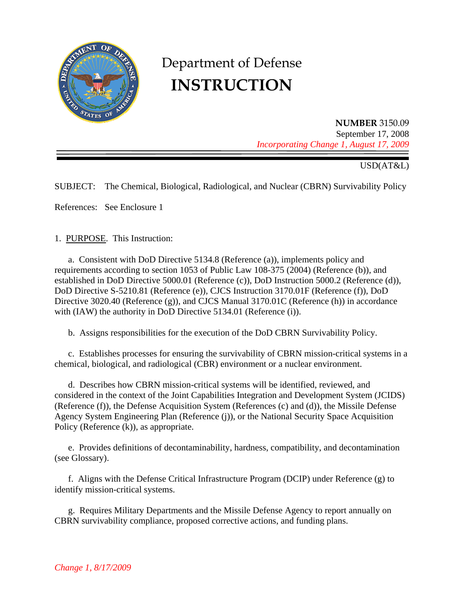

# Department of Defense **INSTRUCTION**

**NUMBER** 3150.09 September 17, 2008 *Incorporating Change 1, August 17, 2009* 

## USD(AT&L)

SUBJECT: The Chemical, Biological, Radiological, and Nuclear (CBRN) Survivability Policy

References: See Enclosure 1

1. PURPOSE. This Instruction:

 a. Consistent with DoD Directive 5134.8 (Reference (a)), implements policy and requirements according to section 1053 of Public Law 108-375 (2004) (Reference (b)), and established in DoD Directive 5000.01 (Reference (c)), DoD Instruction 5000.2 (Reference (d)), DoD Directive S-5210.81 (Reference (e)), CJCS Instruction 3170.01F (Reference (f)), DoD Directive 3020.40 (Reference (g)), and CJCS Manual 3170.01C (Reference (h)) in accordance with (IAW) the authority in DoD Directive 5134.01 (Reference (i)).

b. Assigns responsibilities for the execution of the DoD CBRN Survivability Policy.

 c. Establishes processes for ensuring the survivability of CBRN mission-critical systems in a chemical, biological, and radiological (CBR) environment or a nuclear environment.

 d. Describes how CBRN mission-critical systems will be identified, reviewed, and considered in the context of the Joint Capabilities Integration and Development System (JCIDS) (Reference (f)), the Defense Acquisition System (References (c) and (d)), the Missile Defense Agency System Engineering Plan (Reference (j)), or the National Security Space Acquisition Policy (Reference (k)), as appropriate.

 e. Provides definitions of decontaminability, hardness, compatibility, and decontamination (see Glossary).

 f. Aligns with the Defense Critical Infrastructure Program (DCIP) under Reference (g) to identify mission-critical systems.

 g. Requires Military Departments and the Missile Defense Agency to report annually on CBRN survivability compliance, proposed corrective actions, and funding plans.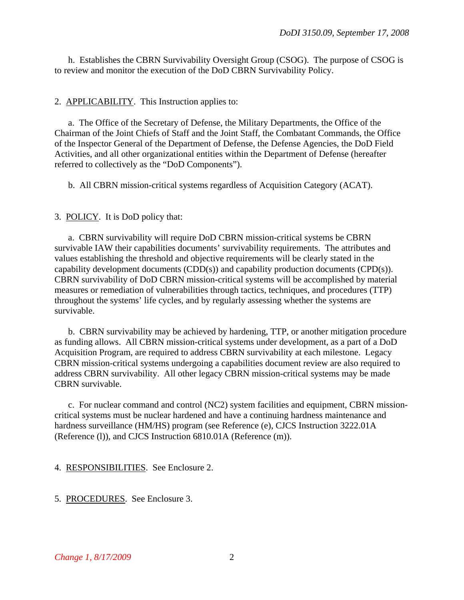h. Establishes the CBRN Survivability Oversight Group (CSOG). The purpose of CSOG is to review and monitor the execution of the DoD CBRN Survivability Policy.

#### 2. APPLICABILITY. This Instruction applies to:

 a. The Office of the Secretary of Defense, the Military Departments, the Office of the Chairman of the Joint Chiefs of Staff and the Joint Staff, the Combatant Commands, the Office of the Inspector General of the Department of Defense, the Defense Agencies, the DoD Field Activities, and all other organizational entities within the Department of Defense (hereafter referred to collectively as the "DoD Components").

b. All CBRN mission-critical systems regardless of Acquisition Category (ACAT).

3. POLICY. It is DoD policy that:

 a. CBRN survivability will require DoD CBRN mission-critical systems be CBRN survivable IAW their capabilities documents' survivability requirements. The attributes and values establishing the threshold and objective requirements will be clearly stated in the capability development documents (CDD(s)) and capability production documents (CPD(s)). CBRN survivability of DoD CBRN mission-critical systems will be accomplished by material measures or remediation of vulnerabilities through tactics, techniques, and procedures (TTP) throughout the systems' life cycles, and by regularly assessing whether the systems are survivable.

 b. CBRN survivability may be achieved by hardening, TTP, or another mitigation procedure as funding allows. All CBRN mission-critical systems under development, as a part of a DoD Acquisition Program, are required to address CBRN survivability at each milestone. Legacy CBRN mission-critical systems undergoing a capabilities document review are also required to address CBRN survivability. All other legacy CBRN mission-critical systems may be made CBRN survivable.

 c. For nuclear command and control (NC2) system facilities and equipment, CBRN missioncritical systems must be nuclear hardened and have a continuing hardness maintenance and hardness surveillance (HM/HS) program (see Reference (e), CJCS Instruction 3222.01A (Reference (l)), and CJCS Instruction 6810.01A (Reference (m)).

4. RESPONSIBILITIES. See Enclosure 2.

5. PROCEDURES. See Enclosure 3.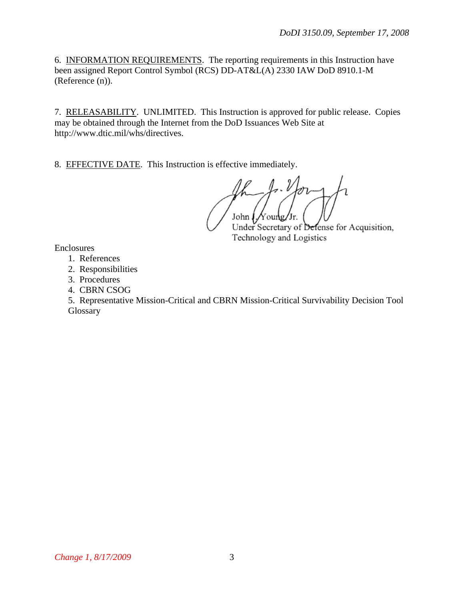6. INFORMATION REQUIREMENTS. The reporting requirements in this Instruction have been assigned Report Control Symbol (RCS) DD-AT&L(A) 2330 IAW DoD 8910.1-M (Reference (n)).

7. RELEASABILITY. UNLIMITED. This Instruction is approved for public release. Copies may be obtained through the Internet from the DoD Issuances Web Site at http://www.dtic.mil/whs/directives.

8. EFFECTIVE DATE. This Instruction is effective immediately.

., V John  $\frac{1}{\sqrt{2}}$  oung/Jr.

Under Secretary of Defense for Acquisition, Technology and Logistics

Enclosures

- 1. References
- 2. Responsibilities
- 3. Procedures
- 4. CBRN CSOG

 5. Representative Mission-Critical and CBRN Mission-Critical Survivability Decision Tool **Glossary**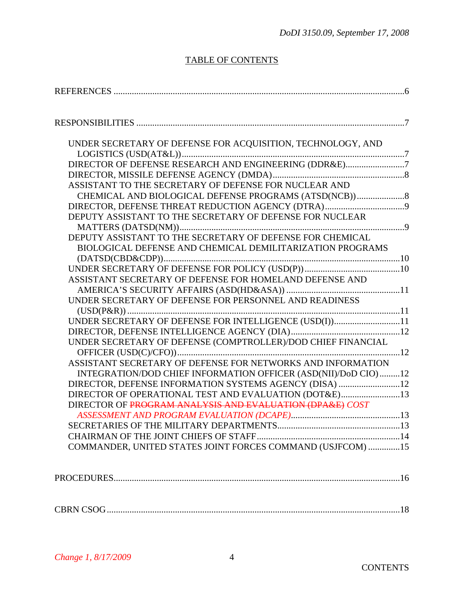# TABLE OF CONTENTS

| UNDER SECRETARY OF DEFENSE FOR ACQUISITION, TECHNOLOGY, AND                                                       |  |
|-------------------------------------------------------------------------------------------------------------------|--|
| DIRECTOR OF DEFENSE RESEARCH AND ENGINEERING (DDR&E)7                                                             |  |
|                                                                                                                   |  |
| ASSISTANT TO THE SECRETARY OF DEFENSE FOR NUCLEAR AND                                                             |  |
|                                                                                                                   |  |
|                                                                                                                   |  |
| DEPUTY ASSISTANT TO THE SECRETARY OF DEFENSE FOR NUCLEAR                                                          |  |
|                                                                                                                   |  |
| DEPUTY ASSISTANT TO THE SECRETARY OF DEFENSE FOR CHEMICAL                                                         |  |
| BIOLOGICAL DEFENSE AND CHEMICAL DEMILITARIZATION PROGRAMS                                                         |  |
|                                                                                                                   |  |
|                                                                                                                   |  |
| ASSISTANT SECRETARY OF DEFENSE FOR HOMELAND DEFENSE AND                                                           |  |
|                                                                                                                   |  |
| UNDER SECRETARY OF DEFENSE FOR PERSONNEL AND READINESS                                                            |  |
|                                                                                                                   |  |
| UNDER SECRETARY OF DEFENSE FOR INTELLIGENCE (USD(I))11                                                            |  |
|                                                                                                                   |  |
| UNDER SECRETARY OF DEFENSE (COMPTROLLER)/DOD CHIEF FINANCIAL                                                      |  |
|                                                                                                                   |  |
| ASSISTANT SECRETARY OF DEFENSE FOR NETWORKS AND INFORMATION                                                       |  |
| INTEGRATION/DOD CHIEF INFORMATION OFFICER (ASD(NII)/DoD CIO) 12                                                   |  |
| DIRECTOR, DEFENSE INFORMATION SYSTEMS AGENCY (DISA) 12                                                            |  |
| DIRECTOR OF OPERATIONAL TEST AND EVALUATION (DOT&E)13<br>DIRECTOR OF PROGRAM ANALYSIS AND EVALUATION (DPA&E) COST |  |
|                                                                                                                   |  |
|                                                                                                                   |  |
|                                                                                                                   |  |
| COMMANDER, UNITED STATES JOINT FORCES COMMAND (USJFCOM) 15                                                        |  |
|                                                                                                                   |  |

CBRN CSOG .................................................................................................................................18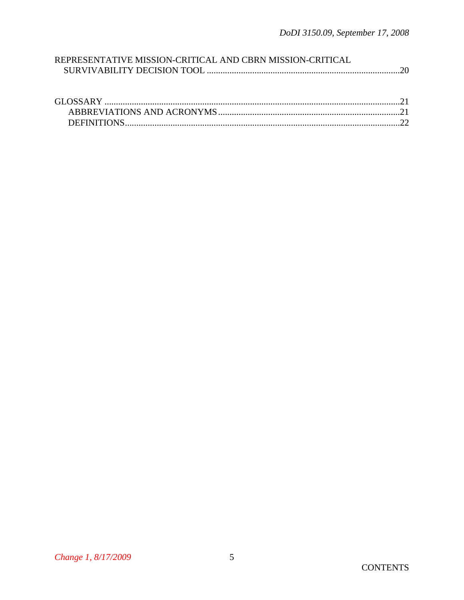| REPRESENTATIVE MISSION-CRITICAL AND CBRN MISSION-CRITICAL |  |
|-----------------------------------------------------------|--|
|                                                           |  |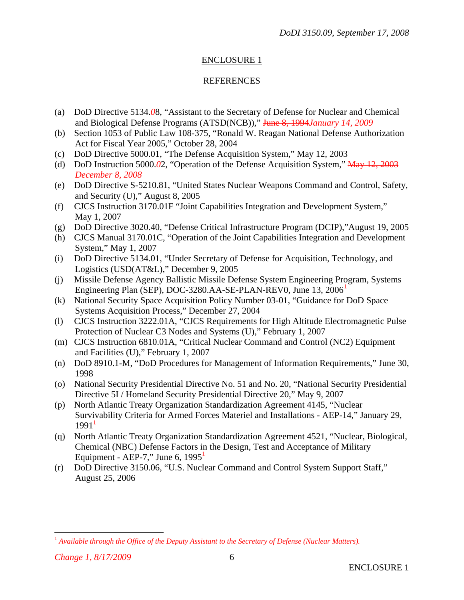## REFERENCES

- (a) DoD Directive 5134.*0*8, "Assistant to the Secretary of Defense for Nuclear and Chemical and Biological Defense Programs (ATSD(NCB))," June 8, 1994*January 14, 2009*
- (b) Section 1053 of Public Law 108-375, "Ronald W. Reagan National Defense Authorization Act for Fiscal Year 2005," October 28, 2004
- (c) [DoD Directive 5000.01,](http://www.dtic.mil/whs/directives/corres/pdf2/d50001p.pdf) "The Defense Acquisition System," May 12, 2003
- (d) DoD Instruction 5000.*0*2, "Operation of the Defense Acquisition System," May 12, 2003 *December 8, 2008*
- (e) DoD Directive S-5210.81, "United States Nuclear Weapons Command and Control, Safety, and Security (U)," August 8, 2005
- (f) CJCS Instruction 3170.01F "Joint Capabilities Integration and Development System," May 1, 2007
- (g) DoD Directive 3020.40, "Defense Critical Infrastructure Program (DCIP),"August 19, 2005
- (h) CJCS Manual 3170.01C, "Operation of the Joint Capabilities Integration and Development System," May 1, 2007
- (i) DoD Directive 5134.01, "Under Secretary of Defense for Acquisition, Technology, and Logistics (USD(AT&L)," December 9, 2005
- (j) Missile Defense Agency Ballistic Missile Defense System Engineering Program, Systems Engineering Plan (SEP), DOC-3280.AA-SE-PLAN-REV0, June [1](#page-5-0)3, 2006<sup>1</sup>
- (k) National Security Space Acquisition Policy Number 03-01, "Guidance for DoD Space Systems Acquisition Process," December 27, 2004
- (l) CJCS Instruction 3222.01A, "CJCS Requirements for High Altitude Electromagnetic Pulse Protection of Nuclear C3 Nodes and Systems (U)," February 1, 2007
- (m) CJCS Instruction 6810.01A, "Critical Nuclear Command and Control (NC2) Equipment and Facilities (U)," February 1, 2007
- (n) DoD 8910.1-M, "DoD Procedures for Management of Information Requirements," June 30, 1998
- (o) National Security Presidential Directive No. 51 and No. 20, "National Security Presidential Directive 5I / Homeland Security Presidential Directive 20," May 9, 2007
- (p) North Atlantic Treaty Organization Standardization Agreement 4145, "Nuclear Survivability Criteria for Armed Forces Materiel and Installations - AEP-14," January 29,  $1991<sup>1</sup>$
- (q) North Atlantic Treaty Organization Standardization Agreement 4521, "Nuclear, Biological, Chemical (NBC) Defense Factors in the Design, Test and Acceptance of Military Equipment - AEP-7," June 6,  $1995<sup>1</sup>$
- (r) DoD Directive 3150.06, "U.S. Nuclear Command and Control System Support Staff," August 25, 2006

 $\overline{a}$ 

<span id="page-5-0"></span><sup>&</sup>lt;sup>1</sup> Available through the Office of the Deputy Assistant to the Secretary of Defense (Nuclear Matters).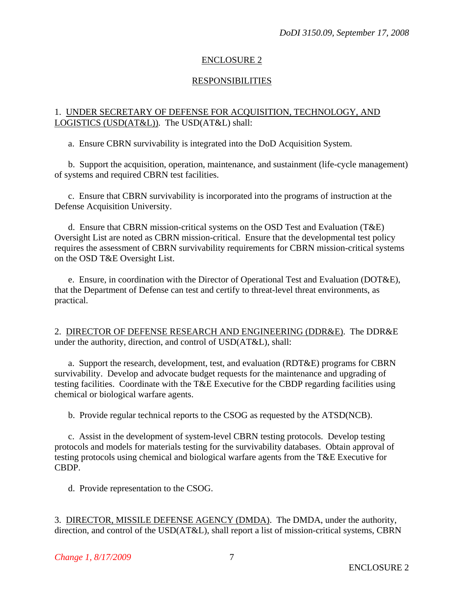## RESPONSIBILITIES

#### 1. UNDER SECRETARY OF DEFENSE FOR ACQUISITION, TECHNOLOGY, AND LOGISTICS (USD(AT&L)). The USD(AT&L) shall:

a. Ensure CBRN survivability is integrated into the DoD Acquisition System.

 b. Support the acquisition, operation, maintenance, and sustainment (life-cycle management) of systems and required CBRN test facilities.

 c. Ensure that CBRN survivability is incorporated into the programs of instruction at the Defense Acquisition University.

 d. Ensure that CBRN mission-critical systems on the OSD Test and Evaluation (T&E) Oversight List are noted as CBRN mission-critical. Ensure that the developmental test policy requires the assessment of CBRN survivability requirements for CBRN mission-critical systems on the OSD T&E Oversight List.

 e. Ensure, in coordination with the Director of Operational Test and Evaluation (DOT&E), that the Department of Defense can test and certify to threat-level threat environments, as practical.

2. DIRECTOR OF DEFENSE RESEARCH AND ENGINEERING (DDR&E). The DDR&E under the authority, direction, and control of USD(AT&L), shall:

 a. Support the research, development, test, and evaluation (RDT&E) programs for CBRN survivability. Develop and advocate budget requests for the maintenance and upgrading of testing facilities. Coordinate with the T&E Executive for the CBDP regarding facilities using chemical or biological warfare agents.

b. Provide regular technical reports to the CSOG as requested by the ATSD(NCB).

 c. Assist in the development of system-level CBRN testing protocols. Develop testing protocols and models for materials testing for the survivability databases. Obtain approval of testing protocols using chemical and biological warfare agents from the T&E Executive for CBDP.

d. Provide representation to the CSOG.

3. DIRECTOR, MISSILE DEFENSE AGENCY (DMDA). The DMDA, under the authority, direction, and control of the USD(AT&L), shall report a list of mission-critical systems, CBRN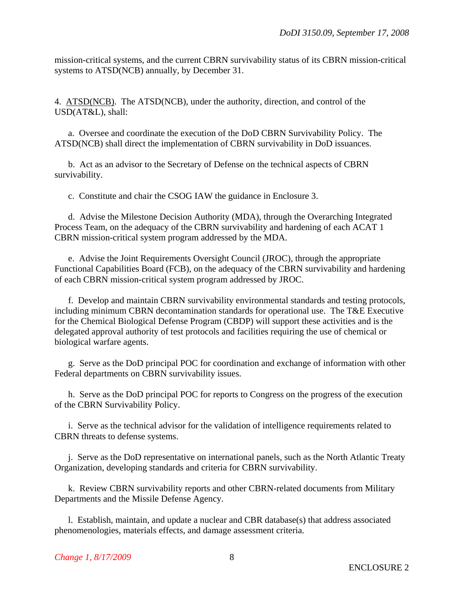mission-critical systems, and the current CBRN survivability status of its CBRN mission-critical systems to ATSD(NCB) annually, by December 31.

4. ATSD(NCB). The ATSD(NCB), under the authority, direction, and control of the USD(AT&L), shall:

 a. Oversee and coordinate the execution of the DoD CBRN Survivability Policy. The ATSD(NCB) shall direct the implementation of CBRN survivability in DoD issuances.

 b. Act as an advisor to the Secretary of Defense on the technical aspects of CBRN survivability.

c. Constitute and chair the CSOG IAW the guidance in Enclosure 3.

 d. Advise the Milestone Decision Authority (MDA), through the Overarching Integrated Process Team, on the adequacy of the CBRN survivability and hardening of each ACAT 1 CBRN mission-critical system program addressed by the MDA.

 e. Advise the Joint Requirements Oversight Council (JROC), through the appropriate Functional Capabilities Board (FCB), on the adequacy of the CBRN survivability and hardening of each CBRN mission-critical system program addressed by JROC.

 f. Develop and maintain CBRN survivability environmental standards and testing protocols, including minimum CBRN decontamination standards for operational use. The T&E Executive for the Chemical Biological Defense Program (CBDP) will support these activities and is the delegated approval authority of test protocols and facilities requiring the use of chemical or biological warfare agents.

 g. Serve as the DoD principal POC for coordination and exchange of information with other Federal departments on CBRN survivability issues.

 h. Serve as the DoD principal POC for reports to Congress on the progress of the execution of the CBRN Survivability Policy.

 i. Serve as the technical advisor for the validation of intelligence requirements related to CBRN threats to defense systems.

 j. Serve as the DoD representative on international panels, such as the North Atlantic Treaty Organization, developing standards and criteria for CBRN survivability.

 k. Review CBRN survivability reports and other CBRN-related documents from Military Departments and the Missile Defense Agency.

 l. Establish, maintain, and update a nuclear and CBR database(s) that address associated phenomenologies, materials effects, and damage assessment criteria.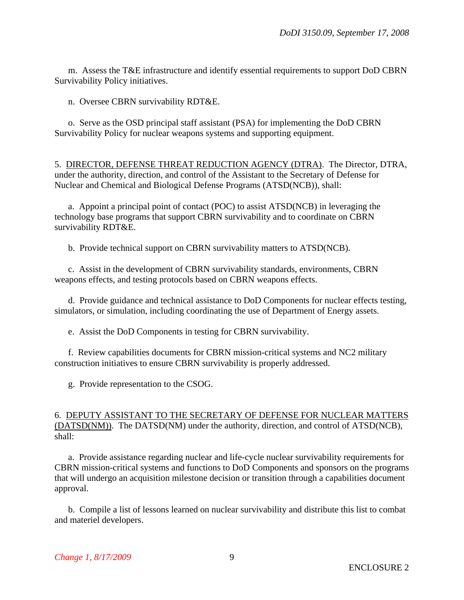m. Assess the T&E infrastructure and identify essential requirements to support DoD CBRN Survivability Policy initiatives.

n. Oversee CBRN survivability RDT&E.

 o. Serve as the OSD principal staff assistant (PSA) for implementing the DoD CBRN Survivability Policy for nuclear weapons systems and supporting equipment.

5. DIRECTOR, DEFENSE THREAT REDUCTION AGENCY (DTRA). The Director, DTRA, under the authority, direction, and control of the Assistant to the Secretary of Defense for Nuclear and Chemical and Biological Defense Programs (ATSD(NCB)), shall:

 a. Appoint a principal point of contact (POC) to assist ATSD(NCB) in leveraging the technology base programs that support CBRN survivability and to coordinate on CBRN survivability RDT&E.

b. Provide technical support on CBRN survivability matters to ATSD(NCB).

 c. Assist in the development of CBRN survivability standards, environments, CBRN weapons effects, and testing protocols based on CBRN weapons effects.

 d. Provide guidance and technical assistance to DoD Components for nuclear effects testing, simulators, or simulation, including coordinating the use of Department of Energy assets.

e. Assist the DoD Components in testing for CBRN survivability.

 f. Review capabilities documents for CBRN mission-critical systems and NC2 military construction initiatives to ensure CBRN survivability is properly addressed.

g. Provide representation to the CSOG.

### 6. DEPUTY ASSISTANT TO THE SECRETARY OF DEFENSE FOR NUCLEAR MATTERS (DATSD(NM)). The DATSD(NM) under the authority, direction, and control of ATSD(NCB), shall:

 a. Provide assistance regarding nuclear and life-cycle nuclear survivability requirements for CBRN mission-critical systems and functions to DoD Components and sponsors on the programs that will undergo an acquisition milestone decision or transition through a capabilities document approval.

 b. Compile a list of lessons learned on nuclear survivability and distribute this list to combat and materiel developers.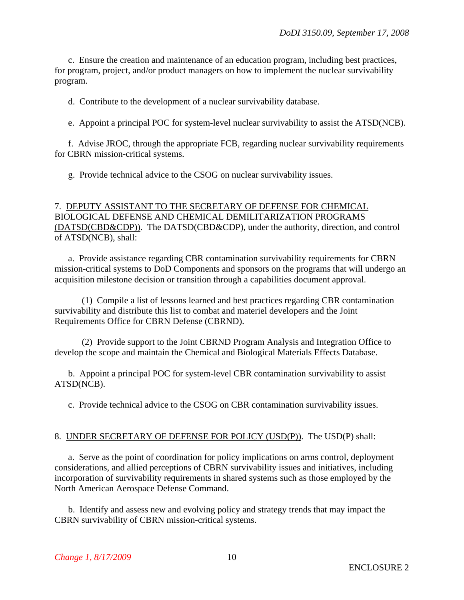c. Ensure the creation and maintenance of an education program, including best practices, for program, project, and/or product managers on how to implement the nuclear survivability program.

d. Contribute to the development of a nuclear survivability database.

e. Appoint a principal POC for system-level nuclear survivability to assist the ATSD(NCB).

 f. Advise JROC, through the appropriate FCB, regarding nuclear survivability requirements for CBRN mission-critical systems.

g. Provide technical advice to the CSOG on nuclear survivability issues.

## 7. DEPUTY ASSISTANT TO THE SECRETARY OF DEFENSE FOR CHEMICAL BIOLOGICAL DEFENSE AND CHEMICAL DEMILITARIZATION PROGRAMS (DATSD(CBD&CDP)). The DATSD(CBD&CDP), under the authority, direction, and control of ATSD(NCB), shall:

 a. Provide assistance regarding CBR contamination survivability requirements for CBRN mission-critical systems to DoD Components and sponsors on the programs that will undergo an acquisition milestone decision or transition through a capabilities document approval.

 (1) Compile a list of lessons learned and best practices regarding CBR contamination survivability and distribute this list to combat and materiel developers and the Joint Requirements Office for CBRN Defense (CBRND).

 (2) Provide support to the Joint CBRND Program Analysis and Integration Office to develop the scope and maintain the Chemical and Biological Materials Effects Database.

 b. Appoint a principal POC for system-level CBR contamination survivability to assist ATSD(NCB).

c. Provide technical advice to the CSOG on CBR contamination survivability issues.

#### 8. UNDER SECRETARY OF DEFENSE FOR POLICY (USD(P)). The USD(P) shall:

 a. Serve as the point of coordination for policy implications on arms control, deployment considerations, and allied perceptions of CBRN survivability issues and initiatives, including incorporation of survivability requirements in shared systems such as those employed by the North American Aerospace Defense Command.

 b. Identify and assess new and evolving policy and strategy trends that may impact the CBRN survivability of CBRN mission-critical systems.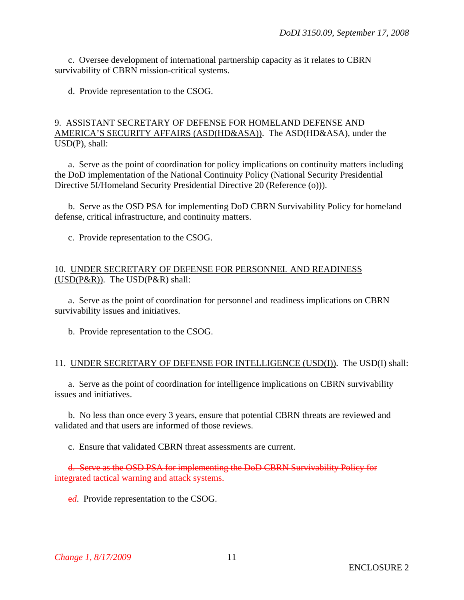c. Oversee development of international partnership capacity as it relates to CBRN survivability of CBRN mission-critical systems.

d. Provide representation to the CSOG.

#### 9. ASSISTANT SECRETARY OF DEFENSE FOR HOMELAND DEFENSE AND AMERICA'S SECURITY AFFAIRS (ASD(HD&ASA)). The ASD(HD&ASA), under the USD(P), shall:

 a. Serve as the point of coordination for policy implications on continuity matters including the DoD implementation of the National Continuity Policy (National Security Presidential Directive 5I/Homeland Security Presidential Directive 20 (Reference (o))).

 b. Serve as the OSD PSA for implementing DoD CBRN Survivability Policy for homeland defense, critical infrastructure, and continuity matters.

c. Provide representation to the CSOG.

#### 10. UNDER SECRETARY OF DEFENSE FOR PERSONNEL AND READINESS (USD(P&R)). The USD(P&R) shall:

 a. Serve as the point of coordination for personnel and readiness implications on CBRN survivability issues and initiatives.

b. Provide representation to the CSOG.

#### 11. UNDER SECRETARY OF DEFENSE FOR INTELLIGENCE (USD(I)). The USD(I) shall:

 a. Serve as the point of coordination for intelligence implications on CBRN survivability issues and initiatives.

 b. No less than once every 3 years, ensure that potential CBRN threats are reviewed and validated and that users are informed of those reviews.

c. Ensure that validated CBRN threat assessments are current.

d. Serve as the OSD PSA for implementing the DoD CBRN Survivability Policy for integrated tactical warning and attack systems.

e*d*. Provide representation to the CSOG.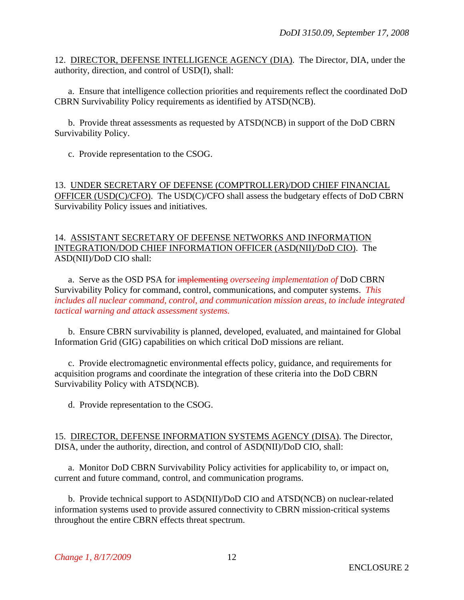12. DIRECTOR, DEFENSE INTELLIGENCE AGENCY (DIA). The Director, DIA, under the authority, direction, and control of USD(I), shall:

 a. Ensure that intelligence collection priorities and requirements reflect the coordinated DoD CBRN Survivability Policy requirements as identified by ATSD(NCB).

 b. Provide threat assessments as requested by ATSD(NCB) in support of the DoD CBRN Survivability Policy.

c. Provide representation to the CSOG.

13. UNDER SECRETARY OF DEFENSE (COMPTROLLER)/DOD CHIEF FINANCIAL OFFICER (USD(C)/CFO). The USD(C)/CFO shall assess the budgetary effects of DoD CBRN Survivability Policy issues and initiatives.

#### 14. ASSISTANT SECRETARY OF DEFENSE NETWORKS AND INFORMATION INTEGRATION/DOD CHIEF INFORMATION OFFICER (ASD(NII)/DoD CIO). The ASD(NII)/DoD CIO shall:

 a. Serve as the OSD PSA for implementing *overseeing implementation of* DoD CBRN Survivability Policy for command, control, communications, and computer systems. *This includes all nuclear command, control, and communication mission areas, to include integrated tactical warning and attack assessment systems.* 

 b. Ensure CBRN survivability is planned, developed, evaluated, and maintained for Global Information Grid (GIG) capabilities on which critical DoD missions are reliant.

 c. Provide electromagnetic environmental effects policy, guidance, and requirements for acquisition programs and coordinate the integration of these criteria into the DoD CBRN Survivability Policy with ATSD(NCB).

d. Provide representation to the CSOG.

15. DIRECTOR, DEFENSE INFORMATION SYSTEMS AGENCY (DISA). The Director, DISA, under the authority, direction, and control of ASD(NII)/DoD CIO, shall:

 a. Monitor DoD CBRN Survivability Policy activities for applicability to, or impact on, current and future command, control, and communication programs.

 b. Provide technical support to ASD(NII)/DoD CIO and ATSD(NCB) on nuclear-related information systems used to provide assured connectivity to CBRN mission-critical systems throughout the entire CBRN effects threat spectrum.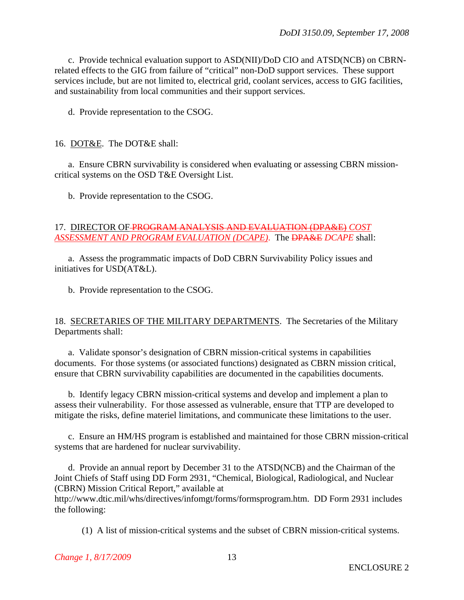c. Provide technical evaluation support to ASD(NII)/DoD CIO and ATSD(NCB) on CBRNrelated effects to the GIG from failure of "critical" non-DoD support services. These support services include, but are not limited to, electrical grid, coolant services, access to GIG facilities, and sustainability from local communities and their support services.

d. Provide representation to the CSOG.

#### 16. DOT&E. The DOT&E shall:

 a. Ensure CBRN survivability is considered when evaluating or assessing CBRN missioncritical systems on the OSD T&E Oversight List.

b. Provide representation to the CSOG.

### 17. DIRECTOR OF PROGRAM ANALYSIS AND EVALUATION (DPA&E) *COST ASSESSMENT AND PROGRAM EVALUATION (DCAPE)*. The DPA&E *DCAPE* shall:

 a. Assess the programmatic impacts of DoD CBRN Survivability Policy issues and initiatives for USD(AT&L).

b. Provide representation to the CSOG.

#### 18. SECRETARIES OF THE MILITARY DEPARTMENTS. The Secretaries of the Military Departments shall:

 a. Validate sponsor's designation of CBRN mission-critical systems in capabilities documents. For those systems (or associated functions) designated as CBRN mission critical, ensure that CBRN survivability capabilities are documented in the capabilities documents.

 b. Identify legacy CBRN mission-critical systems and develop and implement a plan to assess their vulnerability. For those assessed as vulnerable, ensure that TTP are developed to mitigate the risks, define materiel limitations, and communicate these limitations to the user.

 c. Ensure an HM/HS program is established and maintained for those CBRN mission-critical systems that are hardened for nuclear survivability.

 d. Provide an annual report by December 31 to the ATSD(NCB) and the Chairman of the Joint Chiefs of Staff using DD Form 2931, "Chemical, Biological, Radiological, and Nuclear (CBRN) Mission Critical Report," available at http://www.dtic.mil/whs/directives/infomgt/forms/formsprogram.htm. DD Form 2931 includes the following:

(1) A list of mission-critical systems and the subset of CBRN mission-critical systems.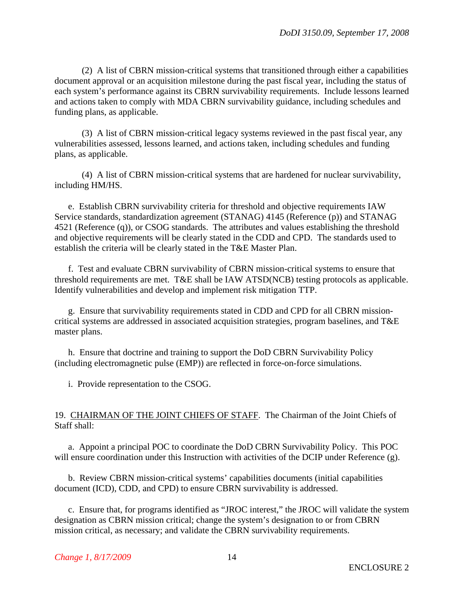(2) A list of CBRN mission-critical systems that transitioned through either a capabilities document approval or an acquisition milestone during the past fiscal year, including the status of each system's performance against its CBRN survivability requirements. Include lessons learned and actions taken to comply with MDA CBRN survivability guidance, including schedules and funding plans, as applicable.

 (3) A list of CBRN mission-critical legacy systems reviewed in the past fiscal year, any vulnerabilities assessed, lessons learned, and actions taken, including schedules and funding plans, as applicable.

 (4) A list of CBRN mission-critical systems that are hardened for nuclear survivability, including HM/HS.

 e. Establish CBRN survivability criteria for threshold and objective requirements IAW Service standards, standardization agreement (STANAG) 4145 (Reference (p)) and STANAG 4521 (Reference (q)), or CSOG standards. The attributes and values establishing the threshold and objective requirements will be clearly stated in the CDD and CPD. The standards used to establish the criteria will be clearly stated in the T&E Master Plan.

 f. Test and evaluate CBRN survivability of CBRN mission-critical systems to ensure that threshold requirements are met. T&E shall be IAW ATSD(NCB) testing protocols as applicable. Identify vulnerabilities and develop and implement risk mitigation TTP.

 g. Ensure that survivability requirements stated in CDD and CPD for all CBRN missioncritical systems are addressed in associated acquisition strategies, program baselines, and T&E master plans.

 h. Ensure that doctrine and training to support the DoD CBRN Survivability Policy (including electromagnetic pulse (EMP)) are reflected in force-on-force simulations.

i. Provide representation to the CSOG.

#### 19. CHAIRMAN OF THE JOINT CHIEFS OF STAFF. The Chairman of the Joint Chiefs of Staff shall:

 a. Appoint a principal POC to coordinate the DoD CBRN Survivability Policy. This POC will ensure coordination under this Instruction with activities of the DCIP under Reference (g).

 b. Review CBRN mission-critical systems' capabilities documents (initial capabilities document (ICD), CDD, and CPD) to ensure CBRN survivability is addressed.

 c. Ensure that, for programs identified as "JROC interest," the JROC will validate the system designation as CBRN mission critical; change the system's designation to or from CBRN mission critical, as necessary; and validate the CBRN survivability requirements.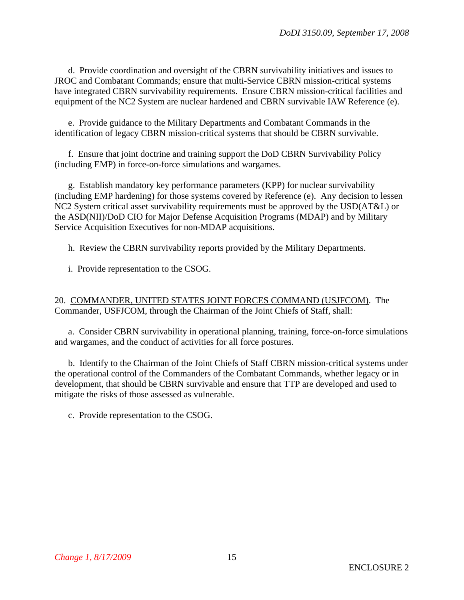d. Provide coordination and oversight of the CBRN survivability initiatives and issues to JROC and Combatant Commands; ensure that multi-Service CBRN mission-critical systems have integrated CBRN survivability requirements. Ensure CBRN mission-critical facilities and equipment of the NC2 System are nuclear hardened and CBRN survivable IAW Reference (e).

 e. Provide guidance to the Military Departments and Combatant Commands in the identification of legacy CBRN mission-critical systems that should be CBRN survivable.

 f. Ensure that joint doctrine and training support the DoD CBRN Survivability Policy (including EMP) in force-on-force simulations and wargames.

 g. Establish mandatory key performance parameters (KPP) for nuclear survivability (including EMP hardening) for those systems covered by Reference (e). Any decision to lessen NC2 System critical asset survivability requirements must be approved by the USD(AT&L) or the ASD(NII)/DoD CIO for Major Defense Acquisition Programs (MDAP) and by Military Service Acquisition Executives for non-MDAP acquisitions.

h. Review the CBRN survivability reports provided by the Military Departments.

i. Provide representation to the CSOG.

20. COMMANDER, UNITED STATES JOINT FORCES COMMAND (USJFCOM). The Commander, USFJCOM, through the Chairman of the Joint Chiefs of Staff, shall:

 a. Consider CBRN survivability in operational planning, training, force-on-force simulations and wargames, and the conduct of activities for all force postures.

 b. Identify to the Chairman of the Joint Chiefs of Staff CBRN mission-critical systems under the operational control of the Commanders of the Combatant Commands, whether legacy or in development, that should be CBRN survivable and ensure that TTP are developed and used to mitigate the risks of those assessed as vulnerable.

c. Provide representation to the CSOG.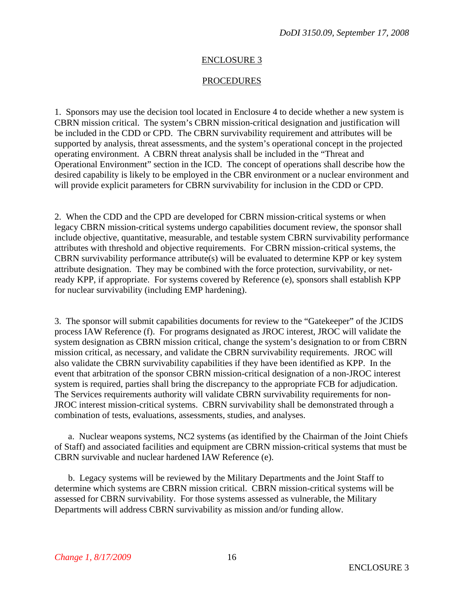#### **PROCEDURES**

1. Sponsors may use the decision tool located in Enclosure 4 to decide whether a new system is CBRN mission critical. The system's CBRN mission-critical designation and justification will be included in the CDD or CPD. The CBRN survivability requirement and attributes will be supported by analysis, threat assessments, and the system's operational concept in the projected operating environment. A CBRN threat analysis shall be included in the "Threat and Operational Environment" section in the ICD. The concept of operations shall describe how the desired capability is likely to be employed in the CBR environment or a nuclear environment and will provide explicit parameters for CBRN survivability for inclusion in the CDD or CPD.

2. When the CDD and the CPD are developed for CBRN mission-critical systems or when legacy CBRN mission-critical systems undergo capabilities document review, the sponsor shall include objective, quantitative, measurable, and testable system CBRN survivability performance attributes with threshold and objective requirements. For CBRN mission-critical systems, the CBRN survivability performance attribute(s) will be evaluated to determine KPP or key system attribute designation. They may be combined with the force protection, survivability, or netready KPP, if appropriate. For systems covered by Reference (e), sponsors shall establish KPP for nuclear survivability (including EMP hardening).

3. The sponsor will submit capabilities documents for review to the "Gatekeeper" of the JCIDS process IAW Reference (f). For programs designated as JROC interest, JROC will validate the system designation as CBRN mission critical, change the system's designation to or from CBRN mission critical, as necessary, and validate the CBRN survivability requirements. JROC will also validate the CBRN survivability capabilities if they have been identified as KPP. In the event that arbitration of the sponsor CBRN mission-critical designation of a non-JROC interest system is required, parties shall bring the discrepancy to the appropriate FCB for adjudication. The Services requirements authority will validate CBRN survivability requirements for non-JROC interest mission-critical systems. CBRN survivability shall be demonstrated through a combination of tests, evaluations, assessments, studies, and analyses.

 a. Nuclear weapons systems, NC2 systems (as identified by the Chairman of the Joint Chiefs of Staff) and associated facilities and equipment are CBRN mission-critical systems that must be CBRN survivable and nuclear hardened IAW Reference (e).

 b. Legacy systems will be reviewed by the Military Departments and the Joint Staff to determine which systems are CBRN mission critical. CBRN mission-critical systems will be assessed for CBRN survivability. For those systems assessed as vulnerable, the Military Departments will address CBRN survivability as mission and/or funding allow.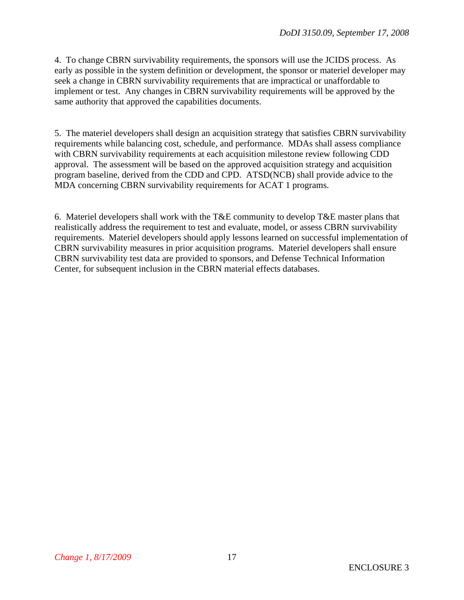4. To change CBRN survivability requirements, the sponsors will use the JCIDS process. As early as possible in the system definition or development, the sponsor or materiel developer may seek a change in CBRN survivability requirements that are impractical or unaffordable to implement or test. Any changes in CBRN survivability requirements will be approved by the same authority that approved the capabilities documents.

5. The materiel developers shall design an acquisition strategy that satisfies CBRN survivability requirements while balancing cost, schedule, and performance. MDAs shall assess compliance with CBRN survivability requirements at each acquisition milestone review following CDD approval. The assessment will be based on the approved acquisition strategy and acquisition program baseline, derived from the CDD and CPD. ATSD(NCB) shall provide advice to the MDA concerning CBRN survivability requirements for ACAT 1 programs.

6. Materiel developers shall work with the T&E community to develop T&E master plans that realistically address the requirement to test and evaluate, model, or assess CBRN survivability requirements. Materiel developers should apply lessons learned on successful implementation of CBRN survivability measures in prior acquisition programs. Materiel developers shall ensure CBRN survivability test data are provided to sponsors, and Defense Technical Information Center, for subsequent inclusion in the CBRN material effects databases.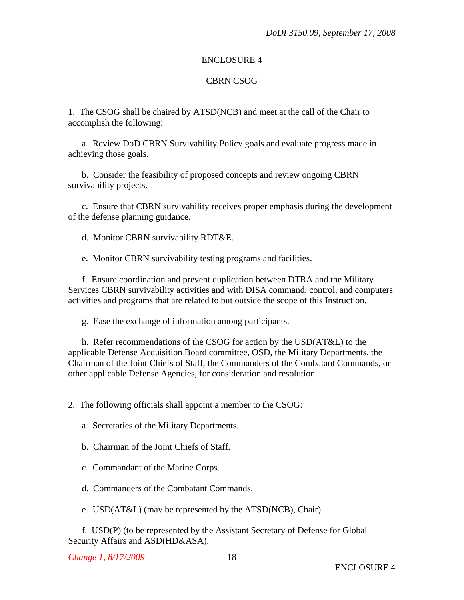## CBRN CSOG

1. The CSOG shall be chaired by ATSD(NCB) and meet at the call of the Chair to accomplish the following:

 a. Review DoD CBRN Survivability Policy goals and evaluate progress made in achieving those goals.

 b. Consider the feasibility of proposed concepts and review ongoing CBRN survivability projects.

 c. Ensure that CBRN survivability receives proper emphasis during the development of the defense planning guidance.

d. Monitor CBRN survivability RDT&E.

e. Monitor CBRN survivability testing programs and facilities.

 f. Ensure coordination and prevent duplication between DTRA and the Military Services CBRN survivability activities and with DISA command, control, and computers activities and programs that are related to but outside the scope of this Instruction.

g. Ease the exchange of information among participants.

 h. Refer recommendations of the CSOG for action by the USD(AT&L) to the applicable Defense Acquisition Board committee, OSD, the Military Departments, the Chairman of the Joint Chiefs of Staff, the Commanders of the Combatant Commands, or other applicable Defense Agencies, for consideration and resolution.

2. The following officials shall appoint a member to the CSOG:

a. Secretaries of the Military Departments.

b. Chairman of the Joint Chiefs of Staff.

c. Commandant of the Marine Corps.

d. Commanders of the Combatant Commands.

e. USD(AT&L) (may be represented by the ATSD(NCB), Chair).

 f. USD(P) (to be represented by the Assistant Secretary of Defense for Global Security Affairs and ASD(HD&ASA).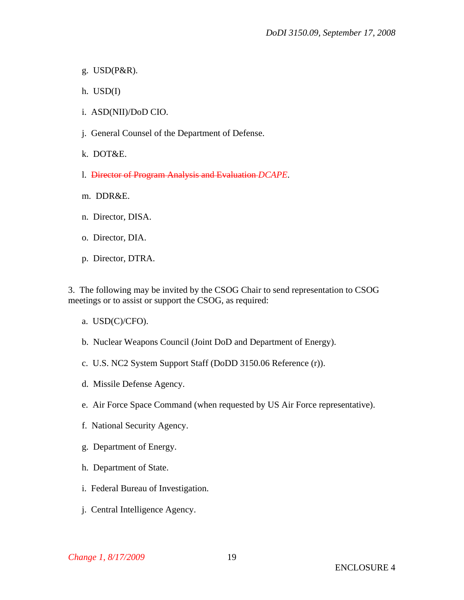- g. USD(P&R).
- h. USD(I)
- i. ASD(NII)/DoD CIO.
- j. General Counsel of the Department of Defense.
- k. DOT&E.
- l. Director of Program Analysis and Evaluation *DCAPE*.
- m. DDR&E.
- n. Director, DISA.
- o. Director, DIA.
- p. Director, DTRA.

3. The following may be invited by the CSOG Chair to send representation to CSOG meetings or to assist or support the CSOG, as required:

- a. USD(C)/CFO).
- b. Nuclear Weapons Council (Joint DoD and Department of Energy).
- c. U.S. NC2 System Support Staff (DoDD 3150.06 Reference (r)).
- d. Missile Defense Agency.
- e. Air Force Space Command (when requested by US Air Force representative).
- f. National Security Agency.
- g. Department of Energy.
- h. Department of State.
- i. Federal Bureau of Investigation.
- j. Central Intelligence Agency.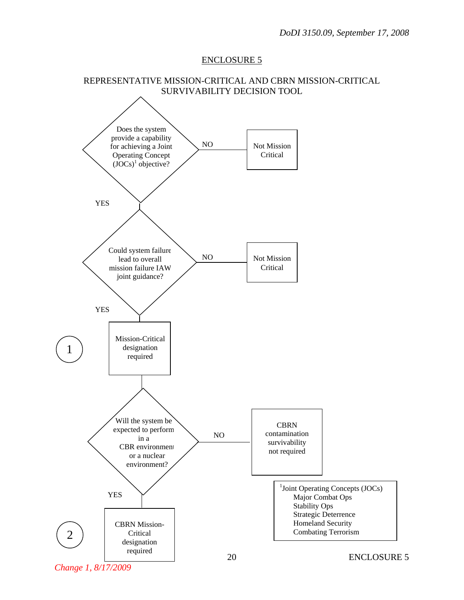

*Change 1, 8/17/2009*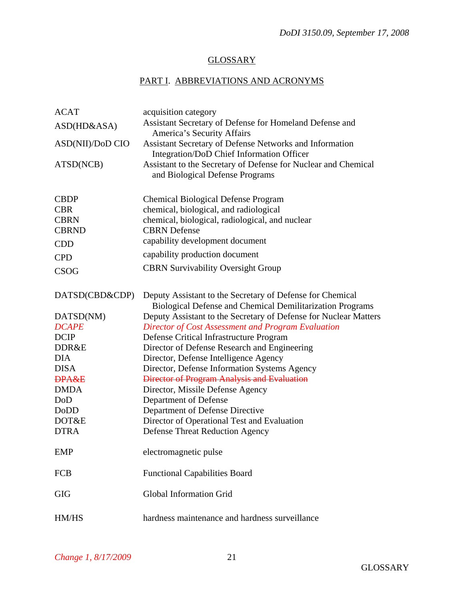## **GLOSSARY**

# PART I. ABBREVIATIONS AND ACRONYMS

| <b>ACAT</b>      | acquisition category                                                                                                          |
|------------------|-------------------------------------------------------------------------------------------------------------------------------|
| ASD(HD&ASA)      | Assistant Secretary of Defense for Homeland Defense and<br>America's Security Affairs                                         |
| ASD(NII)/DoD CIO | Assistant Secretary of Defense Networks and Information                                                                       |
|                  | Integration/DoD Chief Information Officer                                                                                     |
| ATSD(NCB)        | Assistant to the Secretary of Defense for Nuclear and Chemical<br>and Biological Defense Programs                             |
| <b>CBDP</b>      | <b>Chemical Biological Defense Program</b>                                                                                    |
| <b>CBR</b>       | chemical, biological, and radiological                                                                                        |
| <b>CBRN</b>      | chemical, biological, radiological, and nuclear                                                                               |
| <b>CBRND</b>     | <b>CBRN</b> Defense                                                                                                           |
| <b>CDD</b>       | capability development document                                                                                               |
| <b>CPD</b>       | capability production document                                                                                                |
| <b>CSOG</b>      | <b>CBRN Survivability Oversight Group</b>                                                                                     |
| DATSD(CBD&CDP)   | Deputy Assistant to the Secretary of Defense for Chemical<br><b>Biological Defense and Chemical Demilitarization Programs</b> |
| DATSD(NM)        | Deputy Assistant to the Secretary of Defense for Nuclear Matters                                                              |
| <b>DCAPE</b>     | Director of Cost Assessment and Program Evaluation                                                                            |
| <b>DCIP</b>      | Defense Critical Infrastructure Program                                                                                       |
| DDR&E            | Director of Defense Research and Engineering                                                                                  |
| <b>DIA</b>       | Director, Defense Intelligence Agency                                                                                         |
| <b>DISA</b>      | Director, Defense Information Systems Agency                                                                                  |
| <b>DPA&amp;E</b> | <b>Director of Program Analysis and Evaluation</b>                                                                            |
| <b>DMDA</b>      | Director, Missile Defense Agency                                                                                              |
| DoD              | Department of Defense                                                                                                         |
| DoDD             | Department of Defense Directive                                                                                               |
| DOT&E            | Director of Operational Test and Evaluation                                                                                   |
| <b>DTRA</b>      | <b>Defense Threat Reduction Agency</b>                                                                                        |
| <b>EMP</b>       | electromagnetic pulse                                                                                                         |
| <b>FCB</b>       | <b>Functional Capabilities Board</b>                                                                                          |
| <b>GIG</b>       | <b>Global Information Grid</b>                                                                                                |
| HM/HS            | hardness maintenance and hardness surveillance                                                                                |
|                  |                                                                                                                               |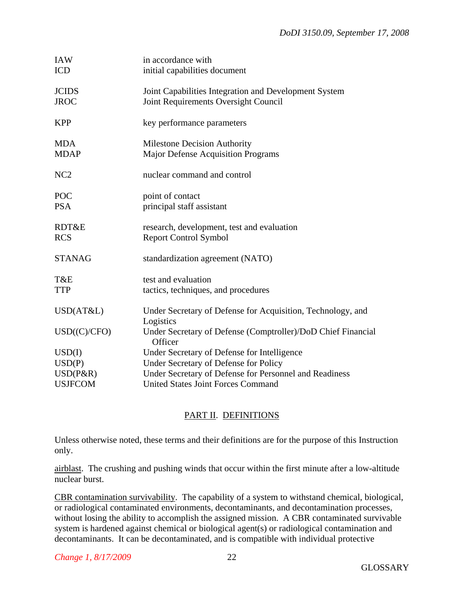| <b>IAW</b><br><b>ICD</b>    | in accordance with<br>initial capabilities document                                           |
|-----------------------------|-----------------------------------------------------------------------------------------------|
| <b>JCIDS</b><br><b>JROC</b> | Joint Capabilities Integration and Development System<br>Joint Requirements Oversight Council |
| <b>KPP</b>                  | key performance parameters                                                                    |
| <b>MDA</b><br><b>MDAP</b>   | <b>Milestone Decision Authority</b><br><b>Major Defense Acquisition Programs</b>              |
| NC <sub>2</sub>             | nuclear command and control                                                                   |
| POC<br><b>PSA</b>           | point of contact<br>principal staff assistant                                                 |
| RDT&E<br><b>RCS</b>         | research, development, test and evaluation<br><b>Report Control Symbol</b>                    |
| <b>STANAG</b>               | standardization agreement (NATO)                                                              |
| T&E<br><b>TTP</b>           | test and evaluation<br>tactics, techniques, and procedures                                    |
| USD(AT&L)                   | Under Secretary of Defense for Acquisition, Technology, and<br>Logistics                      |
| USD(C/CFO)                  | Under Secretary of Defense (Comptroller)/DoD Chief Financial<br>Officer                       |
| USD(I)                      | Under Secretary of Defense for Intelligence                                                   |
| USD(P)                      | Under Secretary of Defense for Policy                                                         |
| $USD(P\&R)$                 | Under Secretary of Defense for Personnel and Readiness                                        |
| <b>USJFCOM</b>              | <b>United States Joint Forces Command</b>                                                     |

## PART II. DEFINITIONS

Unless otherwise noted, these terms and their definitions are for the purpose of this Instruction only.

airblast. The crushing and pushing winds that occur within the first minute after a low-altitude nuclear burst.

CBR contamination survivability. The capability of a system to withstand chemical, biological, or radiological contaminated environments, decontaminants, and decontamination processes, without losing the ability to accomplish the assigned mission. A CBR contaminated survivable system is hardened against chemical or biological agent(s) or radiological contamination and decontaminants. It can be decontaminated, and is compatible with individual protective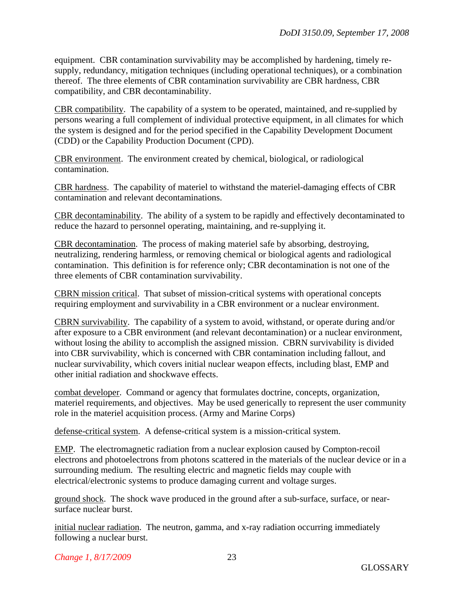equipment. CBR contamination survivability may be accomplished by hardening, timely resupply, redundancy, mitigation techniques (including operational techniques), or a combination thereof. The three elements of CBR contamination survivability are CBR hardness, CBR compatibility, and CBR decontaminability.

CBR compatibility. The capability of a system to be operated, maintained, and re-supplied by persons wearing a full complement of individual protective equipment, in all climates for which the system is designed and for the period specified in the Capability Development Document (CDD) or the Capability Production Document (CPD).

CBR environment. The environment created by chemical, biological, or radiological contamination.

CBR hardness. The capability of materiel to withstand the materiel-damaging effects of CBR contamination and relevant decontaminations.

CBR decontaminability. The ability of a system to be rapidly and effectively decontaminated to reduce the hazard to personnel operating, maintaining, and re-supplying it.

CBR decontamination. The process of making materiel safe by absorbing, destroying, neutralizing, rendering harmless, or removing chemical or biological agents and radiological contamination. This definition is for reference only; CBR decontamination is not one of the three elements of CBR contamination survivability.

CBRN mission critical. That subset of mission-critical systems with operational concepts requiring employment and survivability in a CBR environment or a nuclear environment.

CBRN survivability. The capability of a system to avoid, withstand, or operate during and/or after exposure to a CBR environment (and relevant decontamination) or a nuclear environment, without losing the ability to accomplish the assigned mission. CBRN survivability is divided into CBR survivability, which is concerned with CBR contamination including fallout, and nuclear survivability, which covers initial nuclear weapon effects, including blast, EMP and other initial radiation and shockwave effects.

combat developer. Command or agency that formulates doctrine, concepts, organization, materiel requirements, and objectives. May be used generically to represent the user community role in the materiel acquisition process. (Army and Marine Corps)

defense-critical system. A defense-critical system is a mission-critical system.

EMP. The electromagnetic radiation from a nuclear explosion caused by Compton-recoil electrons and photoelectrons from photons scattered in the materials of the nuclear device or in a surrounding medium. The resulting electric and magnetic fields may couple with electrical/electronic systems to produce damaging current and voltage surges.

ground shock. The shock wave produced in the ground after a sub-surface, surface, or nearsurface nuclear burst.

initial nuclear radiation. The neutron, gamma, and x-ray radiation occurring immediately following a nuclear burst.

*Change 1, 8/17/2009*